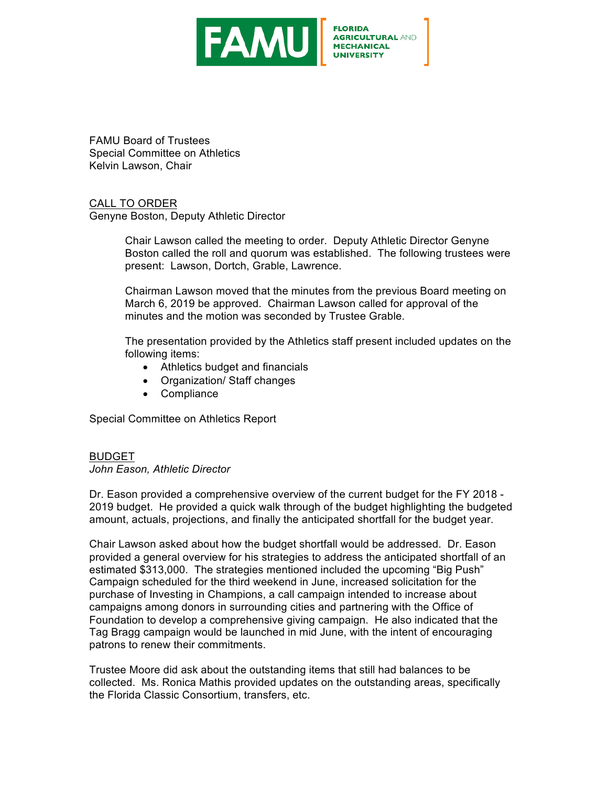

**FLORIDA AGRICULTURAL AND MECHANICAL** 

FAMU Board of Trustees Special Committee on Athletics Kelvin Lawson, Chair

CALL TO ORDER

Genyne Boston, Deputy Athletic Director

Chair Lawson called the meeting to order. Deputy Athletic Director Genyne Boston called the roll and quorum was established. The following trustees were present: Lawson, Dortch, Grable, Lawrence.

Chairman Lawson moved that the minutes from the previous Board meeting on March 6, 2019 be approved. Chairman Lawson called for approval of the minutes and the motion was seconded by Trustee Grable.

The presentation provided by the Athletics staff present included updates on the following items:

- Athletics budget and financials
- Organization/ Staff changes
- Compliance

Special Committee on Athletics Report

# BUDGET

*John Eason, Athletic Director*

Dr. Eason provided a comprehensive overview of the current budget for the FY 2018 - 2019 budget. He provided a quick walk through of the budget highlighting the budgeted amount, actuals, projections, and finally the anticipated shortfall for the budget year.

Chair Lawson asked about how the budget shortfall would be addressed. Dr. Eason provided a general overview for his strategies to address the anticipated shortfall of an estimated \$313,000. The strategies mentioned included the upcoming "Big Push" Campaign scheduled for the third weekend in June, increased solicitation for the purchase of Investing in Champions, a call campaign intended to increase about campaigns among donors in surrounding cities and partnering with the Office of Foundation to develop a comprehensive giving campaign. He also indicated that the Tag Bragg campaign would be launched in mid June, with the intent of encouraging patrons to renew their commitments.

Trustee Moore did ask about the outstanding items that still had balances to be collected. Ms. Ronica Mathis provided updates on the outstanding areas, specifically the Florida Classic Consortium, transfers, etc.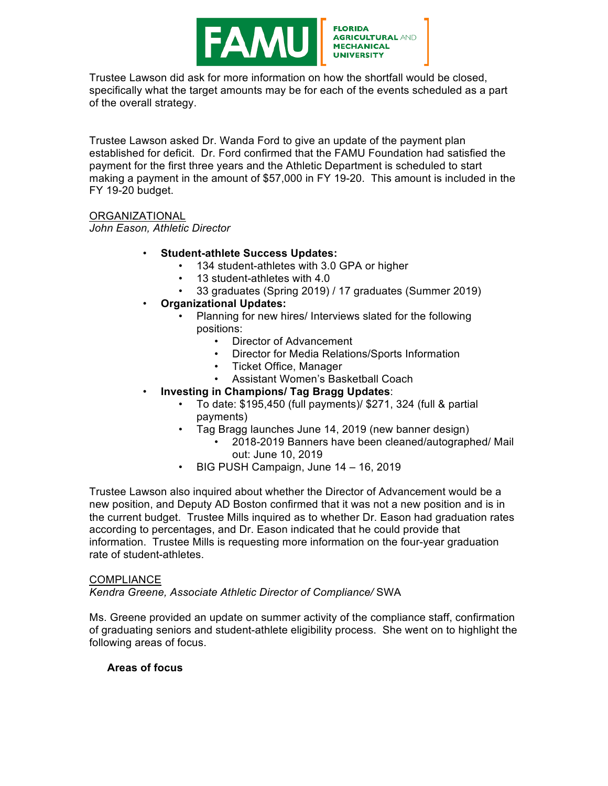

Trustee Lawson did ask for more information on how the shortfall would be closed, specifically what the target amounts may be for each of the events scheduled as a part of the overall strategy.

Trustee Lawson asked Dr. Wanda Ford to give an update of the payment plan established for deficit. Dr. Ford confirmed that the FAMU Foundation had satisfied the payment for the first three years and the Athletic Department is scheduled to start making a payment in the amount of \$57,000 in FY 19-20. This amount is included in the FY 19-20 budget.

## ORGANIZATIONAL

*John Eason, Athletic Director*

## • **Student-athlete Success Updates:**

- 134 student-athletes with 3.0 GPA or higher
- 13 student-athletes with 4.0
- 33 graduates (Spring 2019) / 17 graduates (Summer 2019)
- **Organizational Updates:**
	- Planning for new hires/ Interviews slated for the following positions:
		- Director of Advancement
		- Director for Media Relations/Sports Information
		- Ticket Office, Manager
		- Assistant Women's Basketball Coach
	- **Investing in Champions/ Tag Bragg Updates**:
		- To date: \$195,450 (full payments)/ \$271, 324 (full & partial payments)
		- Tag Bragg launches June 14, 2019 (new banner design)
			- 2018-2019 Banners have been cleaned/autographed/ Mail out: June 10, 2019
		- BIG PUSH Campaign, June 14 16, 2019

Trustee Lawson also inquired about whether the Director of Advancement would be a new position, and Deputy AD Boston confirmed that it was not a new position and is in the current budget. Trustee Mills inquired as to whether Dr. Eason had graduation rates according to percentages, and Dr. Eason indicated that he could provide that information. Trustee Mills is requesting more information on the four-year graduation rate of student-athletes.

#### **COMPLIANCE**

*Kendra Greene, Associate Athletic Director of Compliance/* SWA

Ms. Greene provided an update on summer activity of the compliance staff, confirmation of graduating seniors and student-athlete eligibility process. She went on to highlight the following areas of focus.

## **Areas of focus**